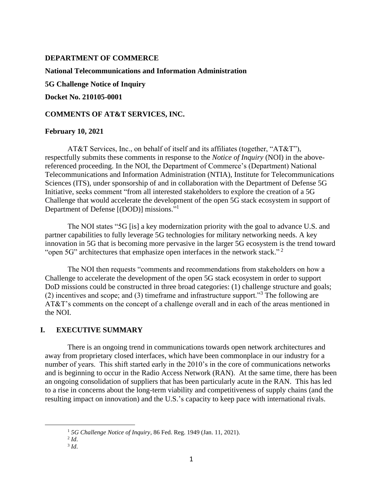#### **DEPARTMENT OF COMMERCE**

#### **National Telecommunications and Information Administration**

**5G Challenge Notice of Inquiry**

**Docket No. 210105-0001**

#### **COMMENTS OF AT&T SERVICES, INC.**

#### **February 10, 2021**

AT&T Services, Inc., on behalf of itself and its affiliates (together, "AT&T"), respectfully submits these comments in response to the *Notice of Inquiry* (NOI) in the abovereferenced proceeding. In the NOI, the Department of Commerce's (Department) National Telecommunications and Information Administration (NTIA), Institute for Telecommunications Sciences (ITS), under sponsorship of and in collaboration with the Department of Defense 5G Initiative, seeks comment "from all interested stakeholders to explore the creation of a 5G Challenge that would accelerate the development of the open 5G stack ecosystem in support of Department of Defense [(DOD)] missions."<sup>1</sup>

The NOI states "5G [is] a key modernization priority with the goal to advance U.S. and partner capabilities to fully leverage 5G technologies for military networking needs. A key innovation in 5G that is becoming more pervasive in the larger 5G ecosystem is the trend toward "open 5G" architectures that emphasize open interfaces in the network stack."<sup>2</sup>

The NOI then requests "comments and recommendations from stakeholders on how a Challenge to accelerate the development of the open 5G stack ecosystem in order to support DoD missions could be constructed in three broad categories: (1) challenge structure and goals; (2) incentives and scope; and (3) timeframe and infrastructure support.<sup> $3$ </sup> The following are AT&T's comments on the concept of a challenge overall and in each of the areas mentioned in the NOI.

### **I. EXECUTIVE SUMMARY**

There is an ongoing trend in communications towards open network architectures and away from proprietary closed interfaces, which have been commonplace in our industry for a number of years. This shift started early in the 2010's in the core of communications networks and is beginning to occur in the Radio Access Network (RAN). At the same time, there has been an ongoing consolidation of suppliers that has been particularly acute in the RAN. This has led to a rise in concerns about the long-term viability and competitiveness of supply chains (and the resulting impact on innovation) and the U.S.'s capacity to keep pace with international rivals.

<sup>1</sup> *5G Challenge Notice of Inquiry*, 86 Fed. Reg. 1949 (Jan. 11, 2021).

<sup>2</sup> *Id*.

<sup>3</sup> *Id*.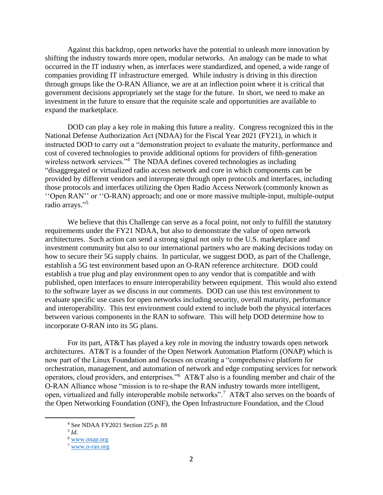Against this backdrop, open networks have the potential to unleash more innovation by shifting the industry towards more open, modular networks. An analogy can be made to what occurred in the IT industry when, as interfaces were standardized, and opened, a wide range of companies providing IT infrastructure emerged. While industry is driving in this direction through groups like the O-RAN Alliance, we are at an inflection point where it is critical that government decisions appropriately set the stage for the future. In short, we need to make an investment in the future to ensure that the requisite scale and opportunities are available to expand the marketplace.

DOD can play a key role in making this future a reality. Congress recognized this in the National Defense Authorization Act (NDAA) for the Fiscal Year 2021 (FY21), in which it instructed DOD to carry out a "demonstration project to evaluate the maturity, performance and cost of covered technologies to provide additional options for providers of fifth-generation wireless network services."<sup>4</sup> The NDAA defines covered technologies as including "disaggregated or virtualized radio access network and core in which components can be provided by different vendors and interoperate through open protocols and interfaces, including those protocols and interfaces utilizing the Open Radio Access Network (commonly known as ''Open RAN'' or ''O-RAN) approach; and one or more massive multiple-input, multiple-output radio arrays." 5

We believe that this Challenge can serve as a focal point, not only to fulfill the statutory requirements under the FY21 NDAA, but also to demonstrate the value of open network architectures. Such action can send a strong signal not only to the U.S. marketplace and investment community but also to our international partners who are making decisions today on how to secure their 5G supply chains. In particular, we suggest DOD, as part of the Challenge, establish a 5G test environment based upon an O-RAN reference architecture. DOD could establish a true plug and play environment open to any vendor that is compatible and with published, open interfaces to ensure interoperability between equipment. This would also extend to the software layer as we discuss in our comments. DOD can use this test environment to evaluate specific use cases for open networks including security, overall maturity, performance and interoperability. This test environment could extend to include both the physical interfaces between various components in the RAN to software. This will help DOD determine how to incorporate O-RAN into its 5G plans.

For its part, AT&T has played a key role in moving the industry towards open network architectures. AT&T is a founder of the Open Network Automation Platform (ONAP) which is now part of the Linux Foundation and focuses on creating a "comprehensive platform for orchestration, management, and automation of network and edge computing services for network operators, cloud providers, and enterprises."<sup>6</sup> AT&T also is a founding member and chair of the O-RAN Alliance whose "mission is to re-shape the RAN industry towards more intelligent, open, virtualized and fully interoperable mobile networks".<sup>7</sup> AT&T also serves on the boards of the Open Networking Foundation (ONF), the Open Infrastructure Foundation, and the Cloud

<sup>4</sup> See NDAA FY2021 Section 225 p. 88

*<sup>5</sup> Id.* 

<sup>6</sup> [www.onap.org](http://www.onap.org/)

<sup>7</sup> [www.o-ran.org](http://www.o-ran.org/)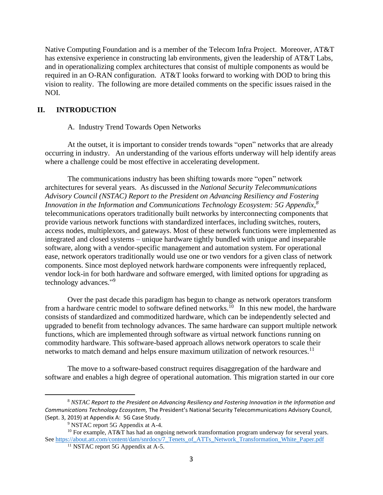Native Computing Foundation and is a member of the Telecom Infra Project. Moreover, AT&T has extensive experience in constructing lab environments, given the leadership of AT&T Labs, and in operationalizing complex architectures that consist of multiple components as would be required in an O-RAN configuration. AT&T looks forward to working with DOD to bring this vision to reality. The following are more detailed comments on the specific issues raised in the NOI.

## **II. INTRODUCTION**

#### A. Industry Trend Towards Open Networks

At the outset, it is important to consider trends towards "open" networks that are already occurring in industry. An understanding of the various efforts underway will help identify areas where a challenge could be most effective in accelerating development.

The communications industry has been shifting towards more "open" network architectures for several years. As discussed in the *National Security Telecommunications Advisory Council (NSTAC) Report to the President on Advancing Resiliency and Fostering Innovation in the Information and Communications Technology Ecosystem: 5G Appendix, 8* telecommunications operators traditionally built networks by interconnecting components that provide various network functions with standardized interfaces, including switches, routers, access nodes, multiplexors, and gateways. Most of these network functions were implemented as integrated and closed systems – unique hardware tightly bundled with unique and inseparable software, along with a vendor-specific management and automation system. For operational ease, network operators traditionally would use one or two vendors for a given class of network components. Since most deployed network hardware components were infrequently replaced, vendor lock-in for both hardware and software emerged, with limited options for upgrading as technology advances."<sup>9</sup>

Over the past decade this paradigm has begun to change as network operators transform from a hardware centric model to software defined networks.<sup>10</sup> In this new model, the hardware consists of standardized and commoditized hardware, which can be independently selected and upgraded to benefit from technology advances. The same hardware can support multiple network functions, which are implemented through software as virtual network functions running on commodity hardware. This software-based approach allows network operators to scale their networks to match demand and helps ensure maximum utilization of network resources.<sup>11</sup>

The move to a software-based construct requires disaggregation of the hardware and software and enables a high degree of operational automation. This migration started in our core

<sup>8</sup> *NSTAC Report to the President on Advancing Resiliency and Fostering Innovation in the Information and Communications Technology Ecosystem,* The President's National Security Telecommunications Advisory Council, (Sept. 3, 2019) at Appendix A: 5G Case Study.

<sup>&</sup>lt;sup>9</sup> NSTAC report 5G Appendix at A-4.

<sup>&</sup>lt;sup>10</sup> For example, AT&T has had an ongoing network transformation program underway for several years. See [https://about.att.com/content/dam/snrdocs/7\\_Tenets\\_of\\_ATTs\\_Network\\_Transformation\\_White\\_Paper.pdf](https://about.att.com/content/dam/snrdocs/7_Tenets_of_ATTs_Network_Transformation_White_Paper.pdf)

<sup>&</sup>lt;sup>11</sup> NSTAC report 5G Appendix at A-5.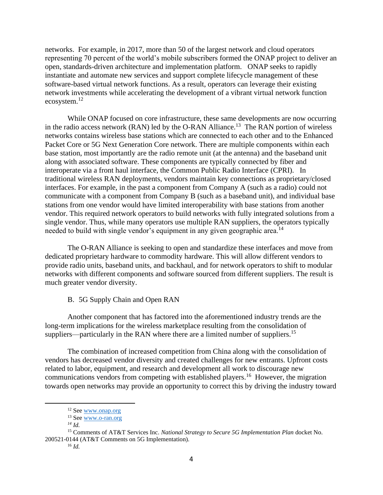networks. For example, in 2017, more than 50 of the largest network and cloud operators representing 70 percent of the world's mobile subscribers formed the ONAP project to deliver an open, standards-driven architecture and implementation platform. ONAP seeks to rapidly instantiate and automate new services and support complete lifecycle management of these software-based virtual network functions. As a result, operators can leverage their existing network investments while accelerating the development of a vibrant virtual network function ecosystem.<sup>12</sup>

While ONAP focused on core infrastructure, these same developments are now occurring in the radio access network (RAN) led by the O-RAN Alliance.<sup>13</sup> The RAN portion of wireless networks contains wireless base stations which are connected to each other and to the Enhanced Packet Core or 5G Next Generation Core network. There are multiple components within each base station, most importantly are the radio remote unit (at the antenna) and the baseband unit along with associated software. These components are typically connected by fiber and interoperate via a front haul interface, the Common Public Radio Interface (CPRI). In traditional wireless RAN deployments, vendors maintain key connections as proprietary/closed interfaces. For example, in the past a component from Company A (such as a radio) could not communicate with a component from Company B (such as a baseband unit), and individual base stations from one vendor would have limited interoperability with base stations from another vendor. This required network operators to build networks with fully integrated solutions from a single vendor. Thus, while many operators use multiple RAN suppliers, the operators typically needed to build with single vendor's equipment in any given geographic area.<sup>14</sup>

The O-RAN Alliance is seeking to open and standardize these interfaces and move from dedicated proprietary hardware to commodity hardware. This will allow different vendors to provide radio units, baseband units, and backhaul, and for network operators to shift to modular networks with different components and software sourced from different suppliers. The result is much greater vendor diversity.

### B. 5G Supply Chain and Open RAN

Another component that has factored into the aforementioned industry trends are the long-term implications for the wireless marketplace resulting from the consolidation of suppliers—particularly in the RAN where there are a limited number of suppliers.<sup>15</sup>

The combination of increased competition from China along with the consolidation of vendors has decreased vendor diversity and created challenges for new entrants. Upfront costs related to labor, equipment, and research and development all work to discourage new communications vendors from competing with established players.<sup>16</sup> However, the migration towards open networks may provide an opportunity to correct this by driving the industry toward

<sup>&</sup>lt;sup>12</sup> See [www.onap.org](http://www.onap.org/)

<sup>&</sup>lt;sup>13</sup> See [www.o-ran.org](http://www.o-ran.org/)

*<sup>14</sup> Id.*

<sup>15</sup> Comments of AT&T Services Inc. *National Strategy to Secure 5G Implementation Plan* docket No. 200521-0144 (AT&T Comments on 5G Implementation).

<sup>16</sup> *Id.*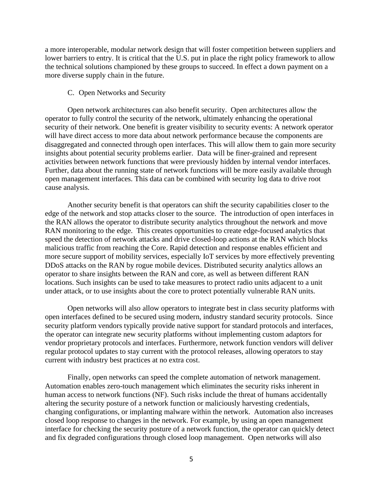a more interoperable, modular network design that will foster competition between suppliers and lower barriers to entry. It is critical that the U.S. put in place the right policy framework to allow the technical solutions championed by these groups to succeed. In effect a down payment on a more diverse supply chain in the future.

#### C. Open Networks and Security

Open network architectures can also benefit security. Open architectures allow the operator to fully control the security of the network, ultimately enhancing the operational security of their network. One benefit is greater visibility to security events: A network operator will have direct access to more data about network performance because the components are disaggregated and connected through open interfaces. This will allow them to gain more security insights about potential security problems earlier. Data will be finer-grained and represent activities between network functions that were previously hidden by internal vendor interfaces. Further, data about the running state of network functions will be more easily available through open management interfaces. This data can be combined with security log data to drive root cause analysis.

Another security benefit is that operators can shift the security capabilities closer to the edge of the network and stop attacks closer to the source. The introduction of open interfaces in the RAN allows the operator to distribute security analytics throughout the network and move RAN monitoring to the edge. This creates opportunities to create edge-focused analytics that speed the detection of network attacks and drive closed-loop actions at the RAN which blocks malicious traffic from reaching the Core. Rapid detection and response enables efficient and more secure support of mobility services, especially IoT services by more effectively preventing DDoS attacks on the RAN by rogue mobile devices. Distributed security analytics allows an operator to share insights between the RAN and core, as well as between different RAN locations. Such insights can be used to take measures to protect radio units adjacent to a unit under attack, or to use insights about the core to protect potentially vulnerable RAN units.

Open networks will also allow operators to integrate best in class security platforms with open interfaces defined to be secured using modern, industry standard security protocols. Since security platform vendors typically provide native support for standard protocols and interfaces, the operator can integrate new security platforms without implementing custom adaptors for vendor proprietary protocols and interfaces. Furthermore, network function vendors will deliver regular protocol updates to stay current with the protocol releases, allowing operators to stay current with industry best practices at no extra cost.

Finally, open networks can speed the complete automation of network management. Automation enables zero-touch management which eliminates the security risks inherent in human access to network functions (NF). Such risks include the threat of humans accidentally altering the security posture of a network function or maliciously harvesting credentials, changing configurations, or implanting malware within the network. Automation also increases closed loop response to changes in the network. For example, by using an open management interface for checking the security posture of a network function, the operator can quickly detect and fix degraded configurations through closed loop management. Open networks will also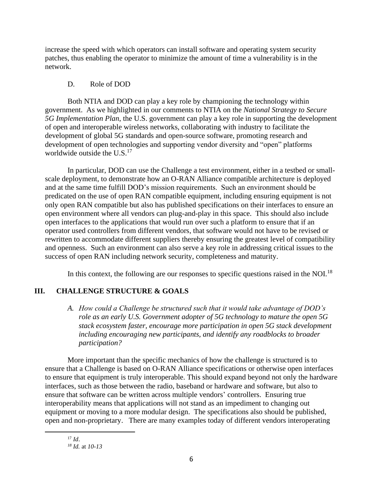increase the speed with which operators can install software and operating system security patches, thus enabling the operator to minimize the amount of time a vulnerability is in the network.

## D. Role of DOD

Both NTIA and DOD can play a key role by championing the technology within government. As we highlighted in our comments to NTIA on the *National Strategy to Secure 5G Implementation Plan*, the U.S. government can play a key role in supporting the development of open and interoperable wireless networks, collaborating with industry to facilitate the development of global 5G standards and open-source software, promoting research and development of open technologies and supporting vendor diversity and "open" platforms worldwide outside the  $U.S.<sup>17</sup>$ 

In particular, DOD can use the Challenge a test environment, either in a testbed or smallscale deployment, to demonstrate how an O-RAN Alliance compatible architecture is deployed and at the same time fulfill DOD's mission requirements. Such an environment should be predicated on the use of open RAN compatible equipment, including ensuring equipment is not only open RAN compatible but also has published specifications on their interfaces to ensure an open environment where all vendors can plug-and-play in this space. This should also include open interfaces to the applications that would run over such a platform to ensure that if an operator used controllers from different vendors, that software would not have to be revised or rewritten to accommodate different suppliers thereby ensuring the greatest level of compatibility and openness. Such an environment can also serve a key role in addressing critical issues to the success of open RAN including network security, completeness and maturity.

In this context, the following are our responses to specific questions raised in the NOI.<sup>18</sup>

# **III. CHALLENGE STRUCTURE & GOALS**

*A. How could a Challenge be structured such that it would take advantage of DOD's role as an early U.S. Government adopter of 5G technology to mature the open 5G stack ecosystem faster, encourage more participation in open 5G stack development including encouraging new participants, and identify any roadblocks to broader participation?*

More important than the specific mechanics of how the challenge is structured is to ensure that a Challenge is based on O-RAN Alliance specifications or otherwise open interfaces to ensure that equipment is truly interoperable. This should expand beyond not only the hardware interfaces, such as those between the radio, baseband or hardware and software, but also to ensure that software can be written across multiple vendors' controllers. Ensuring true interoperability means that applications will not stand as an impediment to changing out equipment or moving to a more modular design. The specifications also should be published, open and non-proprietary. There are many examples today of different vendors interoperating

<sup>17</sup> *Id*.

*<sup>18</sup> Id.* at *10-13*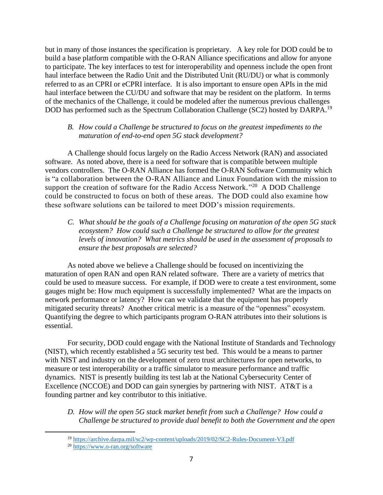but in many of those instances the specification is proprietary. A key role for DOD could be to build a base platform compatible with the O-RAN Alliance specifications and allow for anyone to participate. The key interfaces to test for interoperability and openness include the open front haul interface between the Radio Unit and the Distributed Unit (RU/DU) or what is commonly referred to as an CPRI or eCPRI interface. It is also important to ensure open APIs in the mid haul interface between the CU/DU and software that may be resident on the platform. In terms of the mechanics of the Challenge, it could be modeled after the numerous previous challenges DOD has performed such as the Spectrum Collaboration Challenge (SC2) hosted by DARPA.<sup>19</sup>

# *B. How could a Challenge be structured to focus on the greatest impediments to the maturation of end-to-end open 5G stack development?*

A Challenge should focus largely on the Radio Access Network (RAN) and associated software. As noted above, there is a need for software that is compatible between multiple vendors controllers. The O-RAN Alliance has formed the O-RAN Software Community which is "a collaboration between the O-RAN Alliance and Linux Foundation with the mission to support the creation of software for the Radio Access Network.<sup>"20</sup> A DOD Challenge could be constructed to focus on both of these areas. The DOD could also examine how these software solutions can be tailored to meet DOD's mission requirements.

*C. What should be the goals of a Challenge focusing on maturation of the open 5G stack ecosystem? How could such a Challenge be structured to allow for the greatest levels of innovation? What metrics should be used in the assessment of proposals to ensure the best proposals are selected?*

As noted above we believe a Challenge should be focused on incentivizing the maturation of open RAN and open RAN related software. There are a variety of metrics that could be used to measure success. For example, if DOD were to create a test environment, some gauges might be: How much equipment is successfully implemented? What are the impacts on network performance or latency? How can we validate that the equipment has properly mitigated security threats? Another critical metric is a measure of the "openness" ecosystem. Quantifying the degree to which participants program O-RAN attributes into their solutions is essential.

For security, DOD could engage with the National Institute of Standards and Technology (NIST), which recently established a 5G security test bed. This would be a means to partner with NIST and industry on the development of zero trust architectures for open networks, to measure or test interoperability or a traffic simulator to measure performance and traffic dynamics. NIST is presently building its test lab at the National Cybersecurity Center of Excellence (NCCOE) and DOD can gain synergies by partnering with NIST. AT&T is a founding partner and key contributor to this initiative.

*D. How will the open 5G stack market benefit from such a Challenge? How could a Challenge be structured to provide dual benefit to both the Government and the open* 

<sup>19</sup> <https://archive.darpa.mil/sc2/wp-content/uploads/2019/02/SC2-Rules-Document-V3.pdf>

<sup>20</sup> <https://www.o-ran.org/software>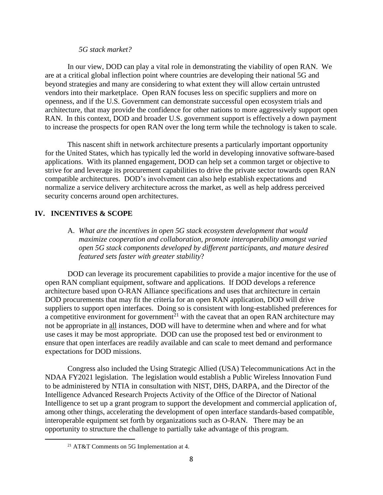#### *5G stack market?*

In our view, DOD can play a vital role in demonstrating the viability of open RAN. We are at a critical global inflection point where countries are developing their national 5G and beyond strategies and many are considering to what extent they will allow certain untrusted vendors into their marketplace. Open RAN focuses less on specific suppliers and more on openness, and if the U.S. Government can demonstrate successful open ecosystem trials and architecture, that may provide the confidence for other nations to more aggressively support open RAN. In this context, DOD and broader U.S. government support is effectively a down payment to increase the prospects for open RAN over the long term while the technology is taken to scale.

This nascent shift in network architecture presents a particularly important opportunity for the United States, which has typically led the world in developing innovative software-based applications. With its planned engagement, DOD can help set a common target or objective to strive for and leverage its procurement capabilities to drive the private sector towards open RAN compatible architectures. DOD's involvement can also help establish expectations and normalize a service delivery architecture across the market, as well as help address perceived security concerns around open architectures.

### **IV. INCENTIVES & SCOPE**

A. *What are the incentives in open 5G stack ecosystem development that would maximize cooperation and collaboration, promote interoperability amongst varied open 5G stack components developed by different participants, and mature desired featured sets faster with greater stability*?

DOD can leverage its procurement capabilities to provide a major incentive for the use of open RAN compliant equipment, software and applications. If DOD develops a reference architecture based upon O-RAN Alliance specifications and uses that architecture in certain DOD procurements that may fit the criteria for an open RAN application, DOD will drive suppliers to support open interfaces. Doing so is consistent with long-established preferences for a competitive environment for government<sup>21</sup> with the caveat that an open RAN architecture may not be appropriate in all instances, DOD will have to determine when and where and for what use cases it may be most appropriate. DOD can use the proposed test bed or environment to ensure that open interfaces are readily available and can scale to meet demand and performance expectations for DOD missions.

Congress also included the Using Strategic Allied (USA) Telecommunications Act in the NDAA FY2021 legislation. The legislation would establish a Public Wireless Innovation Fund to be administered by NTIA in consultation with NIST, DHS, DARPA, and the Director of the Intelligence Advanced Research Projects Activity of the Office of the Director of National Intelligence to set up a grant program to support the development and commercial application of, among other things, accelerating the development of open interface standards-based compatible, interoperable equipment set forth by organizations such as O-RAN. There may be an opportunity to structure the challenge to partially take advantage of this program.

<sup>21</sup> AT&T Comments on 5G Implementation at 4.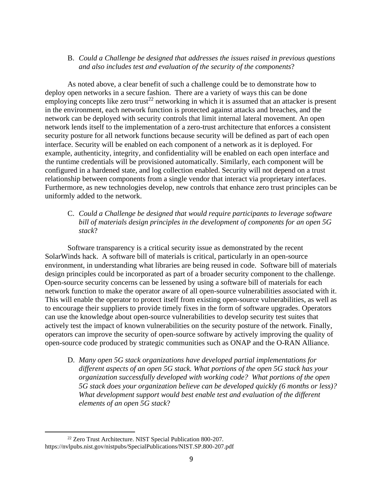### B. *Could a Challenge be designed that addresses the issues raised in previous questions and also includes test and evaluation of the security of the components*?

As noted above, a clear benefit of such a challenge could be to demonstrate how to deploy open networks in a secure fashion. There are a variety of ways this can be done employing concepts like zero trust<sup>22</sup> networking in which it is assumed that an attacker is present in the environment, each network function is protected against attacks and breaches, and the network can be deployed with security controls that limit internal lateral movement. An open network lends itself to the implementation of a zero-trust architecture that enforces a consistent security posture for all network functions because security will be defined as part of each open interface. Security will be enabled on each component of a network as it is deployed. For example, authenticity, integrity, and confidentiality will be enabled on each open interface and the runtime credentials will be provisioned automatically. Similarly, each component will be configured in a hardened state, and log collection enabled. Security will not depend on a trust relationship between components from a single vendor that interact via proprietary interfaces. Furthermore, as new technologies develop, new controls that enhance zero trust principles can be uniformly added to the network.

## C. *Could a Challenge be designed that would require participants to leverage software bill of materials design principles in the development of components for an open 5G stack*?

Software transparency is a critical security issue as demonstrated by the recent SolarWinds hack. A software bill of materials is critical, particularly in an open-source environment, in understanding what libraries are being reused in code. Software bill of materials design principles could be incorporated as part of a broader security component to the challenge. Open-source security concerns can be lessened by using a software bill of materials for each network function to make the operator aware of all open-source vulnerabilities associated with it. This will enable the operator to protect itself from existing open-source vulnerabilities, as well as to encourage their suppliers to provide timely fixes in the form of software upgrades. Operators can use the knowledge about open-source vulnerabilities to develop security test suites that actively test the impact of known vulnerabilities on the security posture of the network. Finally, operators can improve the security of open-source software by actively improving the quality of open-source code produced by strategic communities such as ONAP and the O-RAN Alliance.

D. *Many open 5G stack organizations have developed partial implementations for different aspects of an open 5G stack. What portions of the open 5G stack has your organization successfully developed with working code? What portions of the open 5G stack does your organization believe can be developed quickly (6 months or less)? What development support would best enable test and evaluation of the different elements of an open 5G stack*?

<sup>&</sup>lt;sup>22</sup> Zero Trust Architecture. NIST Special Publication 800-207. https://nvlpubs.nist.gov/nistpubs/SpecialPublications/NIST.SP.800-207.pdf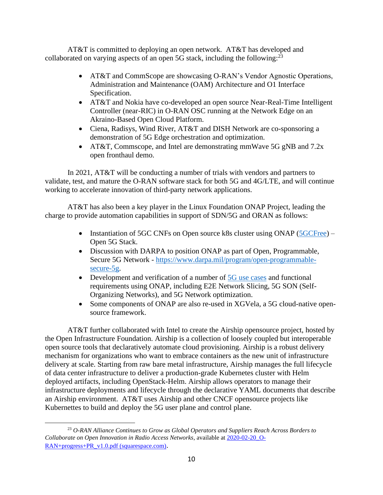AT&T is committed to deploying an open network. AT&T has developed and collaborated on varying aspects of an open 5G stack, including the following:  $^{23}$ 

- AT&T and CommScope are showcasing O-RAN's Vendor Agnostic Operations, Administration and Maintenance (OAM) Architecture and O1 Interface Specification.
- AT&T and Nokia have co-developed an open source Near-Real-Time Intelligent Controller (near-RIC) in O-RAN OSC running at the Network Edge on an Akraino-Based Open Cloud Platform.
- Ciena, Radisys, Wind River, AT&T and DISH Network are co-sponsoring a demonstration of 5G Edge orchestration and optimization.
- AT&T, Commscope, and Intel are demonstrating mmWave 5G gNB and 7.2x open fronthaul demo.

In 2021, AT&T will be conducting a number of trials with vendors and partners to validate, test, and mature the O-RAN software stack for both 5G and 4G/LTE, and will continue working to accelerate innovation of third-party network applications.

AT&T has also been a key player in the Linux Foundation ONAP Project, leading the charge to provide automation capabilities in support of SDN/5G and ORAN as follows:

- Instantiation of 5GC CNFs on Open source k8s cluster using ONAP [\(5GCFree\)](https://free5gc.org/) Open 5G Stack.
- Discussion with DARPA to position ONAP as part of Open, Programmable, Secure 5G Network - [https://www.darpa.mil/program/open-programmable](https://www.darpa.mil/program/open-programmable-secure-5g)[secure-5g.](https://www.darpa.mil/program/open-programmable-secure-5g)
- Development and verification of a number of [5G use cases](https://www.onap.org/architecture/use-cases-blue-prints) and functional requirements using ONAP, including E2E Network Slicing, 5G SON (Self-Organizing Networks), and 5G Network optimization.
- Some components of ONAP are also re-used in XGVela, a 5G cloud-native opensource framework.

AT&T further collaborated with Intel to create the Airship opensource project, hosted by the Open Infrastructure Foundation. Airship is a collection of loosely coupled but interoperable open source tools that declaratively automate cloud provisioning. Airship is a robust delivery mechanism for organizations who want to embrace containers as the new unit of infrastructure delivery at scale. Starting from raw bare metal infrastructure, Airship manages the full lifecycle of data center infrastructure to deliver a production-grade Kubernetes cluster with Helm deployed artifacts, including OpenStack-Helm. Airship allows operators to manage their infrastructure deployments and lifecycle through the declarative YAML documents that describe an Airship environment. AT&T uses Airship and other CNCF opensource projects like Kubernettes to build and deploy the 5G user plane and control plane.

<sup>23</sup> *O-RAN Alliance Continues to Grow as Global Operators and Suppliers Reach Across Borders to Collaborate on Open Innovation in Radio Access Networks*, available at [2020-02-20\\_O-](https://static1.squarespace.com/static/5ad774cce74940d7115044b0/t/5e4ed59178b98159a8b1f881/1582224786007/2020-02-20_O-RAN+progress+PR_v1.0.pdf)[RAN+progress+PR\\_v1.0.pdf \(squarespace.com\)](https://static1.squarespace.com/static/5ad774cce74940d7115044b0/t/5e4ed59178b98159a8b1f881/1582224786007/2020-02-20_O-RAN+progress+PR_v1.0.pdf).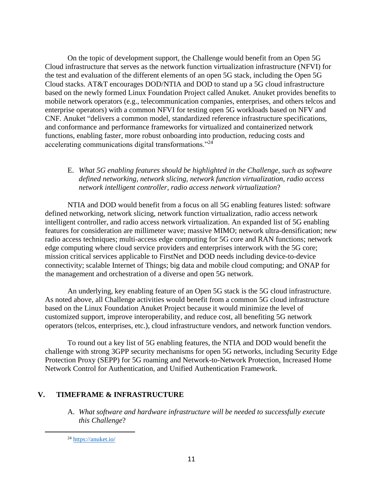On the topic of development support, the Challenge would benefit from an Open 5G Cloud infrastructure that serves as the network function virtualization infrastructure (NFVI) for the test and evaluation of the different elements of an open 5G stack, including the Open 5G Cloud stacks. AT&T encourages DOD/NTIA and DOD to stand up a 5G cloud infrastructure based on the newly formed Linux Foundation Project called Anuket. Anuket provides benefits to mobile network operators (e.g., telecommunication companies, enterprises, and others telcos and enterprise operators) with a common NFVI for testing open 5G workloads based on NFV and CNF. Anuket "delivers a common model, standardized reference infrastructure specifications, and conformance and performance frameworks for virtualized and containerized network functions, enabling faster, more robust onboarding into production, reducing costs and accelerating communications digital transformations."<sup>24</sup>

## E. *What 5G enabling features should be highlighted in the Challenge, such as software defined networking, network slicing, network function virtualization, radio access network intelligent controller, radio access network virtualization*?

NTIA and DOD would benefit from a focus on all 5G enabling features listed: software defined networking, network slicing, network function virtualization, radio access network intelligent controller, and radio access network virtualization. An expanded list of 5G enabling features for consideration are millimeter wave; massive MIMO; network ultra-densification; new radio access techniques; multi-access edge computing for 5G core and RAN functions; network edge computing where cloud service providers and enterprises interwork with the 5G core; mission critical services applicable to FirstNet and DOD needs including device-to-device connectivity; scalable Internet of Things; big data and mobile cloud computing; and ONAP for the management and orchestration of a diverse and open 5G network.

An underlying, key enabling feature of an Open 5G stack is the 5G cloud infrastructure. As noted above, all Challenge activities would benefit from a common 5G cloud infrastructure based on the Linux Foundation Anuket Project because it would minimize the level of customized support, improve interoperability, and reduce cost, all benefiting 5G network operators (telcos, enterprises, etc.), cloud infrastructure vendors, and network function vendors.

To round out a key list of 5G enabling features, the NTIA and DOD would benefit the challenge with strong 3GPP security mechanisms for open 5G networks, including Security Edge Protection Proxy (SEPP) for 5G roaming and Network-to-Network Protection, Increased Home Network Control for Authentication, and Unified Authentication Framework.

# **V. TIMEFRAME & INFRASTRUCTURE**

A. *What software and hardware infrastructure will be needed to successfully execute this Challenge*?

<sup>24</sup> <https://anuket.io/>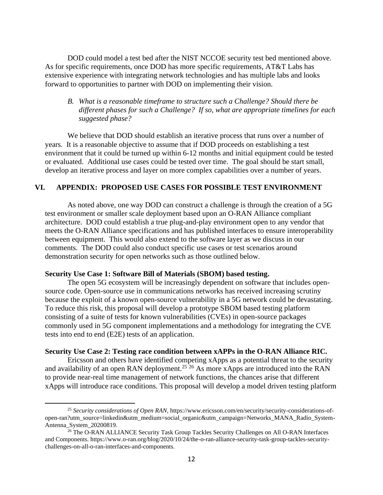DOD could model a test bed after the NIST NCCOE security test bed mentioned above. As for specific requirements, once DOD has more specific requirements, AT&T Labs has extensive experience with integrating network technologies and has multiple labs and looks forward to opportunities to partner with DOD on implementing their vision.

*B. What is a reasonable timeframe to structure such a Challenge? Should there be different phases for such a Challenge? If so, what are appropriate timelines for each suggested phase?*

We believe that DOD should establish an iterative process that runs over a number of years. It is a reasonable objective to assume that if DOD proceeds on establishing a test environment that it could be turned up within 6-12 months and initial equipment could be tested or evaluated. Additional use cases could be tested over time. The goal should be start small, develop an iterative process and layer on more complex capabilities over a number of years.

### **VI. APPENDIX: PROPOSED USE CASES FOR POSSIBLE TEST ENVIRONMENT**

As noted above, one way DOD can construct a challenge is through the creation of a 5G test environment or smaller scale deployment based upon an O-RAN Alliance compliant architecture. DOD could establish a true plug-and-play environment open to any vendor that meets the O-RAN Alliance specifications and has published interfaces to ensure interoperability between equipment. This would also extend to the software layer as we discuss in our comments. The DOD could also conduct specific use cases or test scenarios around demonstration security for open networks such as those outlined below.

#### **Security Use Case 1: Software Bill of Materials (SBOM) based testing.**

The open 5G ecosystem will be increasingly dependent on software that includes opensource code. Open-source use in communications networks has received increasing scrutiny because the exploit of a known open-source vulnerability in a 5G network could be devastating. To reduce this risk, this proposal will develop a prototype SBOM based testing platform consisting of a suite of tests for known vulnerabilities (CVEs) in open-source packages commonly used in 5G component implementations and a methodology for integrating the CVE tests into end to end (E2E) tests of an application.

#### **Security Use Case 2: Testing race condition between xAPPs in the O-RAN Alliance RIC.**

Ericsson and others have identified competing xApps as a potential threat to the security and availability of an open RAN deployment.<sup>25</sup> 26 As more xApps are introduced into the RAN to provide near-real time management of network functions, the chances arise that different xApps will introduce race conditions. This proposal will develop a model driven testing platform

<sup>25</sup> *Security considerations of Open RAN*, https://www.ericsson.com/en/security/security-considerations-ofopen-ran?utm\_source=linkedin&utm\_medium=social\_organic&utm\_campaign=Networks\_MANA\_Radio\_System-Antenna\_System\_20200819.

<sup>&</sup>lt;sup>26</sup> The O-RAN ALLIANCE Security Task Group Tackles Security Challenges on All O-RAN Interfaces and Components. https://www.o-ran.org/blog/2020/10/24/the-o-ran-alliance-security-task-group-tackles-securitychallenges-on-all-o-ran-interfaces-and-components.